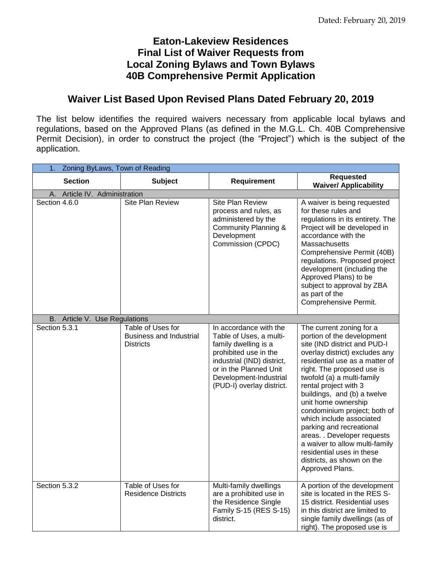## **Eaton-Lakeview Residences Final List of Waiver Requests from Local Zoning Bylaws and Town Bylaws 40B Comprehensive Permit Application**

## **Waiver List Based Upon Revised Plans Dated February 20, 2019**

The list below identifies the required waivers necessary from applicable local bylaws and regulations, based on the Approved Plans (as defined in the M.G.L. Ch. 40B Comprehensive Permit Decision), in order to construct the project (the "Project") which is the subject of the application.

| $\mathbf 1$ .<br>Zoning ByLaws, Town of Reading |                                                                         |                                                                                                                                                                                                                   |                                                                                                                                                                                                                                                                                                                                                                                                                                                                                                                                              |
|-------------------------------------------------|-------------------------------------------------------------------------|-------------------------------------------------------------------------------------------------------------------------------------------------------------------------------------------------------------------|----------------------------------------------------------------------------------------------------------------------------------------------------------------------------------------------------------------------------------------------------------------------------------------------------------------------------------------------------------------------------------------------------------------------------------------------------------------------------------------------------------------------------------------------|
| <b>Section</b>                                  | <b>Subject</b>                                                          | Requirement                                                                                                                                                                                                       | <b>Requested</b><br><b>Waiver/ Applicability</b>                                                                                                                                                                                                                                                                                                                                                                                                                                                                                             |
| A. Article IV. Administration                   |                                                                         |                                                                                                                                                                                                                   |                                                                                                                                                                                                                                                                                                                                                                                                                                                                                                                                              |
| Section 4.6.0                                   | Site Plan Review                                                        | Site Plan Review<br>process and rules, as<br>administered by the<br>Community Planning &<br>Development<br>Commission (CPDC)                                                                                      | A waiver is being requested<br>for these rules and<br>regulations in its entirety. The<br>Project will be developed in<br>accordance with the<br>Massachusetts<br>Comprehensive Permit (40B)<br>regulations. Proposed project<br>development (including the<br>Approved Plans) to be<br>subject to approval by ZBA<br>as part of the<br>Comprehensive Permit.                                                                                                                                                                                |
| Article V. Use Regulations<br>В.                |                                                                         |                                                                                                                                                                                                                   |                                                                                                                                                                                                                                                                                                                                                                                                                                                                                                                                              |
| Section 5.3.1                                   | Table of Uses for<br><b>Business and Industrial</b><br><b>Districts</b> | In accordance with the<br>Table of Uses, a multi-<br>family dwelling is a<br>prohibited use in the<br>industrial (IND) district,<br>or in the Planned Unit<br>Development-Industrial<br>(PUD-I) overlay district. | The current zoning for a<br>portion of the development<br>site (IND district and PUD-I<br>overlay district) excludes any<br>residential use as a matter of<br>right. The proposed use is<br>twofold (a) a multi-family<br>rental project with 3<br>buildings, and (b) a twelve<br>unit home ownership<br>condominium project; both of<br>which include associated<br>parking and recreational<br>areas. . Developer requests<br>a waiver to allow multi-family<br>residential uses in these<br>districts, as shown on the<br>Approved Plans. |
| Section 5.3.2                                   | Table of Uses for<br><b>Residence Districts</b>                         | Multi-family dwellings<br>are a prohibited use in<br>the Residence Single<br>Family S-15 (RES S-15)<br>district.                                                                                                  | A portion of the development<br>site is located in the RES S-<br>15 district. Residential uses<br>in this district are limited to<br>single family dwellings (as of<br>right). The proposed use is                                                                                                                                                                                                                                                                                                                                           |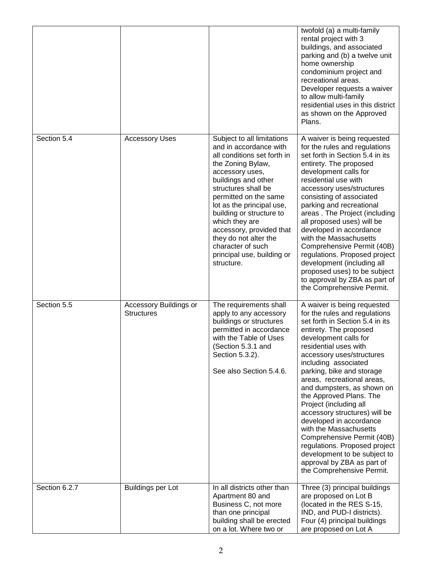|               |                                             |                                                                                                                                                                                                                                                                                                                                                                                                     | twofold (a) a multi-family<br>rental project with 3<br>buildings, and associated<br>parking and (b) a twelve unit<br>home ownership<br>condominium project and<br>recreational areas.<br>Developer requests a waiver<br>to allow multi-family<br>residential uses in this district<br>as shown on the Approved<br>Plans.                                                                                                                                                                                                                                                                                                       |
|---------------|---------------------------------------------|-----------------------------------------------------------------------------------------------------------------------------------------------------------------------------------------------------------------------------------------------------------------------------------------------------------------------------------------------------------------------------------------------------|--------------------------------------------------------------------------------------------------------------------------------------------------------------------------------------------------------------------------------------------------------------------------------------------------------------------------------------------------------------------------------------------------------------------------------------------------------------------------------------------------------------------------------------------------------------------------------------------------------------------------------|
| Section 5.4   | <b>Accessory Uses</b>                       | Subject to all limitations<br>and in accordance with<br>all conditions set forth in<br>the Zoning Bylaw,<br>accessory uses,<br>buildings and other<br>structures shall be<br>permitted on the same<br>lot as the principal use,<br>building or structure to<br>which they are<br>accessory, provided that<br>they do not alter the<br>character of such<br>principal use, building or<br>structure. | A waiver is being requested<br>for the rules and regulations<br>set forth in Section 5.4 in its<br>entirety. The proposed<br>development calls for<br>residential use with<br>accessory uses/structures<br>consisting of associated<br>parking and recreational<br>areas. The Project (including<br>all proposed uses) will be<br>developed in accordance<br>with the Massachusetts<br>Comprehensive Permit (40B)<br>regulations. Proposed project<br>development (including all<br>proposed uses) to be subject<br>to approval by ZBA as part of<br>the Comprehensive Permit.                                                 |
| Section 5.5   | Accessory Buildings or<br><b>Structures</b> | The requirements shall<br>apply to any accessory<br>buildings or structures<br>permitted in accordance<br>with the Table of Uses<br>(Section 5.3.1 and<br>Section 5.3.2).<br>See also Section 5.4.6.                                                                                                                                                                                                | A waiver is being requested<br>for the rules and regulations<br>set forth in Section 5.4 in its<br>entirety. The proposed<br>development calls for<br>residential uses with<br>accessory uses/structures<br>including associated<br>parking, bike and storage<br>areas, recreational areas,<br>and dumpsters, as shown on<br>the Approved Plans. The<br>Project (including all<br>accessory structures) will be<br>developed in accordance<br>with the Massachusetts<br>Comprehensive Permit (40B)<br>regulations. Proposed project<br>development to be subject to<br>approval by ZBA as part of<br>the Comprehensive Permit. |
| Section 6.2.7 | <b>Buildings per Lot</b>                    | In all districts other than<br>Apartment 80 and<br>Business C, not more<br>than one principal<br>building shall be erected<br>on a lot. Where two or                                                                                                                                                                                                                                                | Three (3) principal buildings<br>are proposed on Lot B<br>(located in the RES S-15,<br>IND, and PUD-I districts).<br>Four (4) principal buildings<br>are proposed on Lot A                                                                                                                                                                                                                                                                                                                                                                                                                                                     |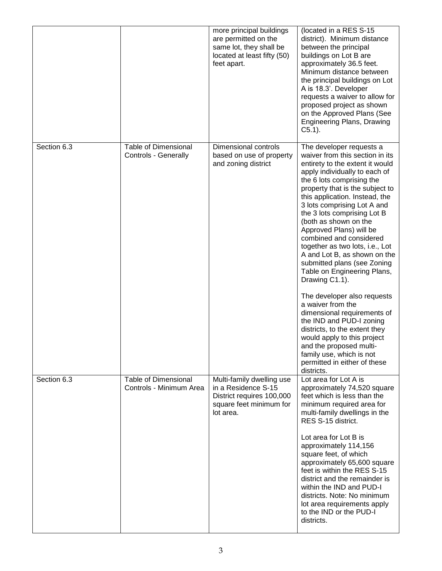|             |                                                        | more principal buildings<br>are permitted on the<br>same lot, they shall be<br>located at least fifty (50)<br>feet apart. | (located in a RES S-15<br>district). Minimum distance<br>between the principal<br>buildings on Lot B are<br>approximately 36.5 feet.<br>Minimum distance between<br>the principal buildings on Lot<br>A is 18.3'. Developer<br>requests a waiver to allow for<br>proposed project as shown<br>on the Approved Plans (See<br><b>Engineering Plans, Drawing</b><br>$C5.1$ ).                                                                                                                                                                                                                                                                                                                                                                                                                                            |
|-------------|--------------------------------------------------------|---------------------------------------------------------------------------------------------------------------------------|-----------------------------------------------------------------------------------------------------------------------------------------------------------------------------------------------------------------------------------------------------------------------------------------------------------------------------------------------------------------------------------------------------------------------------------------------------------------------------------------------------------------------------------------------------------------------------------------------------------------------------------------------------------------------------------------------------------------------------------------------------------------------------------------------------------------------|
| Section 6.3 | <b>Table of Dimensional</b><br>Controls - Generally    | Dimensional controls<br>based on use of property<br>and zoning district                                                   | The developer requests a<br>waiver from this section in its<br>entirety to the extent it would<br>apply individually to each of<br>the 6 lots comprising the<br>property that is the subject to<br>this application. Instead, the<br>3 lots comprising Lot A and<br>the 3 lots comprising Lot B<br>(both as shown on the<br>Approved Plans) will be<br>combined and considered<br>together as two lots, i.e., Lot<br>A and Lot B, as shown on the<br>submitted plans (see Zoning<br>Table on Engineering Plans,<br>Drawing C1.1).<br>The developer also requests<br>a waiver from the<br>dimensional requirements of<br>the IND and PUD-I zoning<br>districts, to the extent they<br>would apply to this project<br>and the proposed multi-<br>family use, which is not<br>permitted in either of these<br>districts. |
| Section 6.3 | <b>Table of Dimensional</b><br>Controls - Minimum Area | Multi-family dwelling use<br>in a Residence S-15<br>District requires 100,000<br>square feet minimum for<br>lot area.     | Lot area for Lot A is<br>approximately 74,520 square<br>feet which is less than the<br>minimum required area for<br>multi-family dwellings in the<br>RES S-15 district.<br>Lot area for Lot B is<br>approximately 114,156<br>square feet, of which<br>approximately 65,600 square<br>feet is within the RES S-15<br>district and the remainder is<br>within the IND and PUD-I<br>districts. Note: No minimum<br>lot area requirements apply<br>to the IND or the PUD-I<br>districts.                                                                                                                                                                                                                                                                                                                                  |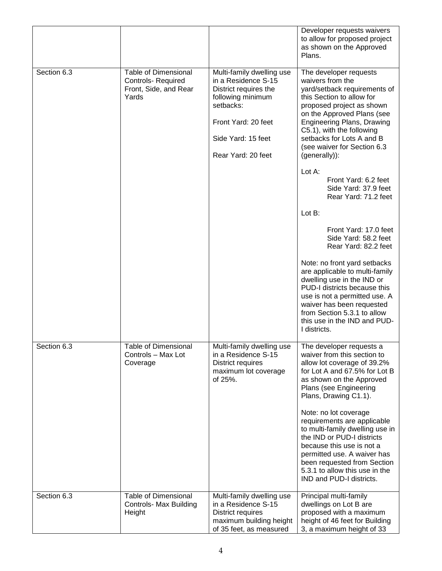|             |                                                                                            |                                                                                                                                                                                | Developer requests waivers<br>to allow for proposed project<br>as shown on the Approved<br>Plans.                                                                                                                                                                                                                                                                                                                                                                                                                                                                                                                                                                                                                                                                   |
|-------------|--------------------------------------------------------------------------------------------|--------------------------------------------------------------------------------------------------------------------------------------------------------------------------------|---------------------------------------------------------------------------------------------------------------------------------------------------------------------------------------------------------------------------------------------------------------------------------------------------------------------------------------------------------------------------------------------------------------------------------------------------------------------------------------------------------------------------------------------------------------------------------------------------------------------------------------------------------------------------------------------------------------------------------------------------------------------|
| Section 6.3 | <b>Table of Dimensional</b><br><b>Controls- Required</b><br>Front, Side, and Rear<br>Yards | Multi-family dwelling use<br>in a Residence S-15<br>District requires the<br>following minimum<br>setbacks:<br>Front Yard: 20 feet<br>Side Yard: 15 feet<br>Rear Yard: 20 feet | The developer requests<br>waivers from the<br>yard/setback requirements of<br>this Section to allow for<br>proposed project as shown<br>on the Approved Plans (see<br><b>Engineering Plans, Drawing</b><br>C5.1), with the following<br>setbacks for Lots A and B<br>(see waiver for Section 6.3<br>(generally)):<br>Lot A:<br>Front Yard: 6.2 feet<br>Side Yard: 37.9 feet<br>Rear Yard: 71.2 feet<br>Lot B:<br>Front Yard: 17.0 feet<br>Side Yard: 58.2 feet<br>Rear Yard: 82.2 feet<br>Note: no front yard setbacks<br>are applicable to multi-family<br>dwelling use in the IND or<br>PUD-I districts because this<br>use is not a permitted use. A<br>waiver has been requested<br>from Section 5.3.1 to allow<br>this use in the IND and PUD-<br>I districts. |
| Section 6.3 | <b>Table of Dimensional</b><br>Controls - Max Lot<br>Coverage                              | Multi-family dwelling use<br>in a Residence S-15<br><b>District requires</b><br>maximum lot coverage<br>of 25%.                                                                | The developer requests a<br>waiver from this section to<br>allow lot coverage of 39.2%<br>for Lot A and 67.5% for Lot B<br>as shown on the Approved<br>Plans (see Engineering<br>Plans, Drawing C1.1).<br>Note: no lot coverage<br>requirements are applicable<br>to multi-family dwelling use in<br>the IND or PUD-I districts<br>because this use is not a<br>permitted use. A waiver has<br>been requested from Section<br>5.3.1 to allow this use in the<br>IND and PUD-I districts.                                                                                                                                                                                                                                                                            |
| Section 6.3 | <b>Table of Dimensional</b><br><b>Controls- Max Building</b><br>Height                     | Multi-family dwelling use<br>in a Residence S-15<br><b>District requires</b><br>maximum building height<br>of 35 feet, as measured                                             | Principal multi-family<br>dwellings on Lot B are<br>proposed with a maximum<br>height of 46 feet for Building<br>3, a maximum height of 33                                                                                                                                                                                                                                                                                                                                                                                                                                                                                                                                                                                                                          |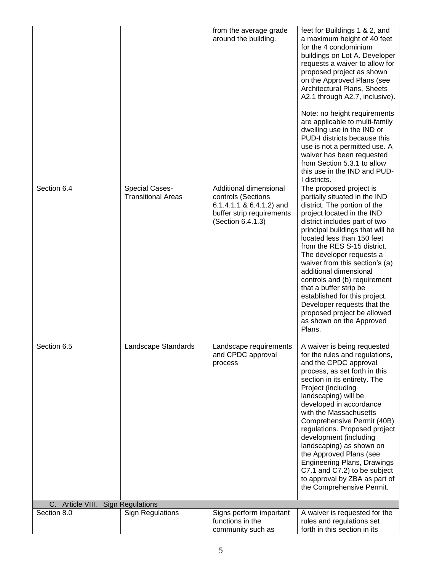|                                      |                           | from the average grade                                                                           | feet for Buildings 1 & 2, and                                                                                                                                                                                                                                                                                                                                                                                                                                                                                                                  |
|--------------------------------------|---------------------------|--------------------------------------------------------------------------------------------------|------------------------------------------------------------------------------------------------------------------------------------------------------------------------------------------------------------------------------------------------------------------------------------------------------------------------------------------------------------------------------------------------------------------------------------------------------------------------------------------------------------------------------------------------|
|                                      |                           | around the building.                                                                             | a maximum height of 40 feet<br>for the 4 condominium<br>buildings on Lot A. Developer<br>requests a waiver to allow for<br>proposed project as shown<br>on the Approved Plans (see<br>Architectural Plans, Sheets<br>A2.1 through A2.7, inclusive).<br>Note: no height requirements<br>are applicable to multi-family<br>dwelling use in the IND or<br>PUD-I districts because this<br>use is not a permitted use. A<br>waiver has been requested<br>from Section 5.3.1 to allow<br>this use in the IND and PUD-<br>I districts.               |
| Section 6.4                          | <b>Special Cases-</b>     | Additional dimensional                                                                           | The proposed project is                                                                                                                                                                                                                                                                                                                                                                                                                                                                                                                        |
|                                      | <b>Transitional Areas</b> | controls (Sections<br>6.1.4.1.1 & 6.4.1.2) and<br>buffer strip requirements<br>(Section 6.4.1.3) | partially situated in the IND<br>district. The portion of the<br>project located in the IND<br>district includes part of two<br>principal buildings that will be<br>located less than 150 feet<br>from the RES S-15 district.<br>The developer requests a<br>waiver from this section's (a)<br>additional dimensional<br>controls and (b) requirement<br>that a buffer strip be<br>established for this project.<br>Developer requests that the<br>proposed project be allowed<br>as shown on the Approved<br>Plans.                           |
| Section 6.5                          | Landscape Standards       | andscape requirements<br>and CPDC approval<br>process                                            | A waiver is being requested<br>for the rules and regulations,<br>and the CPDC approval<br>process, as set forth in this<br>section in its entirety. The<br>Project (including<br>landscaping) will be<br>developed in accordance<br>with the Massachusetts<br>Comprehensive Permit (40B)<br>regulations. Proposed project<br>development (including<br>landscaping) as shown on<br>the Approved Plans (see<br><b>Engineering Plans, Drawings</b><br>C7.1 and C7.2) to be subject<br>to approval by ZBA as part of<br>the Comprehensive Permit. |
| Article VIII. Sign Regulations<br>C. |                           |                                                                                                  |                                                                                                                                                                                                                                                                                                                                                                                                                                                                                                                                                |
| Section 8.0                          | <b>Sign Regulations</b>   | Signs perform important<br>functions in the                                                      | A waiver is requested for the<br>rules and regulations set                                                                                                                                                                                                                                                                                                                                                                                                                                                                                     |
|                                      |                           | community such as                                                                                | forth in this section in its                                                                                                                                                                                                                                                                                                                                                                                                                                                                                                                   |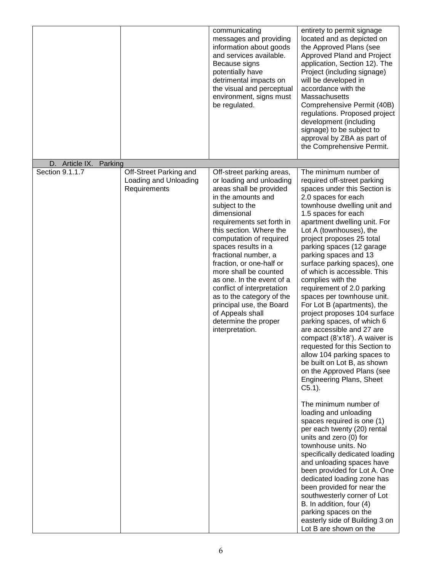| D. Article IX.<br>Parking       |                                                 | communicating<br>messages and providing<br>information about goods<br>and services available.<br>Because signs<br>potentially have<br>detrimental impacts on<br>the visual and perceptual<br>environment, signs must<br>be regulated.                                                                                                                                                                                                                                                                             | entirety to permit signage<br>located and as depicted on<br>the Approved Plans (see<br>Approved Pland and Project<br>application, Section 12). The<br>Project (including signage)<br>will be developed in<br>accordance with the<br><b>Massachusetts</b><br>Comprehensive Permit (40B)<br>regulations. Proposed project<br>development (including<br>signage) to be subject to<br>approval by ZBA as part of<br>the Comprehensive Permit.                                                                                                                                                                                                                                                                                                                                                                                                                                                                                                                                                                                                                                                                                                                                                                                                                 |
|---------------------------------|-------------------------------------------------|-------------------------------------------------------------------------------------------------------------------------------------------------------------------------------------------------------------------------------------------------------------------------------------------------------------------------------------------------------------------------------------------------------------------------------------------------------------------------------------------------------------------|-----------------------------------------------------------------------------------------------------------------------------------------------------------------------------------------------------------------------------------------------------------------------------------------------------------------------------------------------------------------------------------------------------------------------------------------------------------------------------------------------------------------------------------------------------------------------------------------------------------------------------------------------------------------------------------------------------------------------------------------------------------------------------------------------------------------------------------------------------------------------------------------------------------------------------------------------------------------------------------------------------------------------------------------------------------------------------------------------------------------------------------------------------------------------------------------------------------------------------------------------------------|
| Section 9.1.1.7<br>Requirements | Off-Street Parking and<br>Loading and Unloading | Off-street parking areas,<br>or loading and unloading<br>areas shall be provided<br>in the amounts and<br>subject to the<br>dimensional<br>requirements set forth in<br>this section. Where the<br>computation of required<br>spaces results in a<br>fractional number, a<br>fraction, or one-half or<br>more shall be counted<br>as one. In the event of a<br>conflict of interpretation<br>as to the category of the<br>principal use, the Board<br>of Appeals shall<br>determine the proper<br>interpretation. | The minimum number of<br>required off-street parking<br>spaces under this Section is<br>2.0 spaces for each<br>townhouse dwelling unit and<br>1.5 spaces for each<br>apartment dwelling unit. For<br>Lot A (townhouses), the<br>project proposes 25 total<br>parking spaces (12 garage<br>parking spaces and 13<br>surface parking spaces), one<br>of which is accessible. This<br>complies with the<br>requirement of 2.0 parking<br>spaces per townhouse unit.<br>For Lot B (apartments), the<br>project proposes 104 surface<br>parking spaces, of which 6<br>are accessible and 27 are<br>compact (8'x18'). A waiver is<br>requested for this Section to<br>allow 104 parking spaces to<br>be built on Lot B, as shown<br>on the Approved Plans (see<br><b>Engineering Plans, Sheet</b><br>$C5.1$ ).<br>The minimum number of<br>loading and unloading<br>spaces required is one (1)<br>per each twenty (20) rental<br>units and zero (0) for<br>townhouse units. No<br>specifically dedicated loading<br>and unloading spaces have<br>been provided for Lot A. One<br>dedicated loading zone has<br>been provided for near the<br>southwesterly corner of Lot<br>B. In addition, four (4)<br>parking spaces on the<br>easterly side of Building 3 on |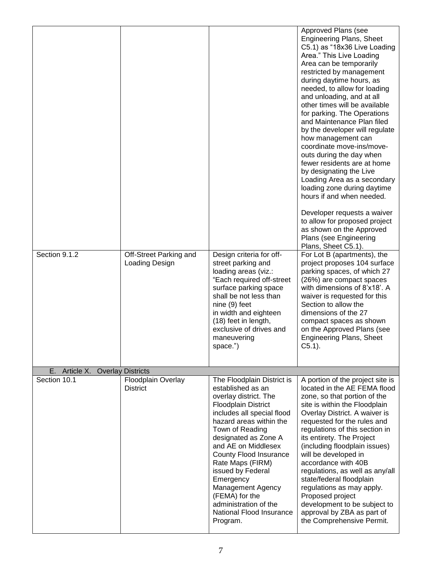|                  |                                          |                                                                                                                                                                                                                                                                                                                                                                                                                                  | Approved Plans (see<br><b>Engineering Plans, Sheet</b><br>C5.1) as "18x36 Live Loading<br>Area." This Live Loading<br>Area can be temporarily<br>restricted by management<br>during daytime hours, as<br>needed, to allow for loading<br>and unloading, and at all<br>other times will be available<br>for parking. The Operations<br>and Maintenance Plan filed<br>by the developer will regulate<br>how management can<br>coordinate move-ins/move-<br>outs during the day when<br>fewer residents are at home<br>by designating the Live<br>Loading Area as a secondary<br>loading zone during daytime<br>hours if and when needed.<br>Developer requests a waiver<br>to allow for proposed project<br>as shown on the Approved<br>Plans (see Engineering |
|------------------|------------------------------------------|----------------------------------------------------------------------------------------------------------------------------------------------------------------------------------------------------------------------------------------------------------------------------------------------------------------------------------------------------------------------------------------------------------------------------------|--------------------------------------------------------------------------------------------------------------------------------------------------------------------------------------------------------------------------------------------------------------------------------------------------------------------------------------------------------------------------------------------------------------------------------------------------------------------------------------------------------------------------------------------------------------------------------------------------------------------------------------------------------------------------------------------------------------------------------------------------------------|
|                  |                                          |                                                                                                                                                                                                                                                                                                                                                                                                                                  | Plans, Sheet C5.1).                                                                                                                                                                                                                                                                                                                                                                                                                                                                                                                                                                                                                                                                                                                                          |
| Section 9.1.2    | Off-Street Parking and<br>Loading Design | Design criteria for off-<br>street parking and<br>loading areas (viz.:<br>"Each required off-street<br>surface parking space<br>shall be not less than<br>nine (9) feet<br>in width and eighteen<br>(18) feet in length,<br>exclusive of drives and<br>maneuvering<br>space.")                                                                                                                                                   | For Lot B (apartments), the<br>project proposes 104 surface<br>parking spaces, of which 27<br>(26%) are compact spaces<br>with dimensions of 8'x18'. A<br>waiver is requested for this<br>Section to allow the<br>dimensions of the 27<br>compact spaces as shown<br>on the Approved Plans (see<br><b>Engineering Plans, Sheet</b><br>$C5.1$ ).                                                                                                                                                                                                                                                                                                                                                                                                              |
| Article X.<br>Е. | <b>Overlay Districts</b>                 |                                                                                                                                                                                                                                                                                                                                                                                                                                  |                                                                                                                                                                                                                                                                                                                                                                                                                                                                                                                                                                                                                                                                                                                                                              |
| Section 10.1     | Floodplain Overlay<br><b>District</b>    | The Floodplain District is<br>established as an<br>overlay district. The<br><b>Floodplain District</b><br>includes all special flood<br>hazard areas within the<br>Town of Reading<br>designated as Zone A<br>and AE on Middlesex<br>County Flood Insurance<br>Rate Maps (FIRM)<br>issued by Federal<br>Emergency<br><b>Management Agency</b><br>(FEMA) for the<br>administration of the<br>National Flood Insurance<br>Program. | A portion of the project site is<br>located in the AE FEMA flood<br>zone, so that portion of the<br>site is within the Floodplain<br>Overlay District. A waiver is<br>requested for the rules and<br>regulations of this section in<br>its entirety. The Project<br>(including floodplain issues)<br>will be developed in<br>accordance with 40B<br>regulations, as well as any/all<br>state/federal floodplain<br>regulations as may apply.<br>Proposed project<br>development to be subject to<br>approval by ZBA as part of<br>the Comprehensive Permit.                                                                                                                                                                                                  |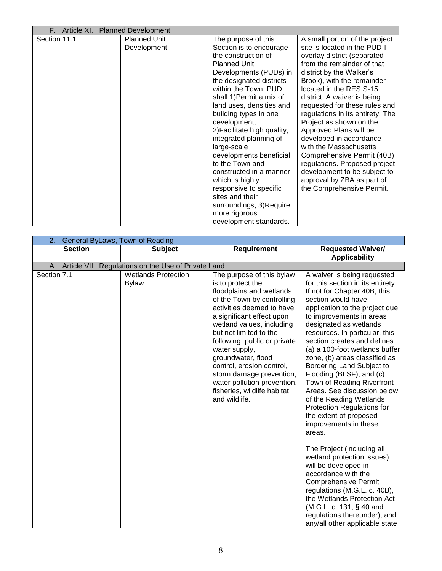|              | F. Article XI. Planned Development |                                                                                                                                                                                                                                                                                                                                                                                                                                                                                                                                                                    |                                                                                                                                                                                                                                                                                                                                                                                                                                                                                                                                                                                          |
|--------------|------------------------------------|--------------------------------------------------------------------------------------------------------------------------------------------------------------------------------------------------------------------------------------------------------------------------------------------------------------------------------------------------------------------------------------------------------------------------------------------------------------------------------------------------------------------------------------------------------------------|------------------------------------------------------------------------------------------------------------------------------------------------------------------------------------------------------------------------------------------------------------------------------------------------------------------------------------------------------------------------------------------------------------------------------------------------------------------------------------------------------------------------------------------------------------------------------------------|
| Section 11.1 | <b>Planned Unit</b><br>Development | The purpose of this<br>Section is to encourage<br>the construction of<br><b>Planned Unit</b><br>Developments (PUDs) in<br>the designated districts<br>within the Town. PUD<br>shall 1) Permit a mix of<br>land uses, densities and<br>building types in one<br>development;<br>2) Facilitate high quality,<br>integrated planning of<br>large-scale<br>developments beneficial<br>to the Town and<br>constructed in a manner<br>which is highly<br>responsive to specific<br>sites and their<br>surroundings; 3)Require<br>more rigorous<br>development standards. | A small portion of the project<br>site is located in the PUD-I<br>overlay district (separated<br>from the remainder of that<br>district by the Walker's<br>Brook), with the remainder<br>located in the RES S-15<br>district. A waiver is being<br>requested for these rules and<br>regulations in its entirety. The<br>Project as shown on the<br>Approved Plans will be<br>developed in accordance<br>with the Massachusetts<br>Comprehensive Permit (40B)<br>regulations. Proposed project<br>development to be subject to<br>approval by ZBA as part of<br>the Comprehensive Permit. |

| 2.             | General ByLaws, Town of Reading                        |                                                                                                                                                                                                                                                                                                                                                                                                                                          |                                                                                                                                                                                                                                                                                                                                                                                                                                                                                                                                                                                                       |  |  |
|----------------|--------------------------------------------------------|------------------------------------------------------------------------------------------------------------------------------------------------------------------------------------------------------------------------------------------------------------------------------------------------------------------------------------------------------------------------------------------------------------------------------------------|-------------------------------------------------------------------------------------------------------------------------------------------------------------------------------------------------------------------------------------------------------------------------------------------------------------------------------------------------------------------------------------------------------------------------------------------------------------------------------------------------------------------------------------------------------------------------------------------------------|--|--|
| <b>Section</b> | <b>Subject</b>                                         | Requirement                                                                                                                                                                                                                                                                                                                                                                                                                              | <b>Requested Waiver/</b><br><b>Applicability</b>                                                                                                                                                                                                                                                                                                                                                                                                                                                                                                                                                      |  |  |
|                | A. Article VII. Regulations on the Use of Private Land |                                                                                                                                                                                                                                                                                                                                                                                                                                          |                                                                                                                                                                                                                                                                                                                                                                                                                                                                                                                                                                                                       |  |  |
| Section 7.1    | <b>Wetlands Protection</b><br><b>Bylaw</b>             | The purpose of this bylaw<br>is to protect the<br>floodplains and wetlands<br>of the Town by controlling<br>activities deemed to have<br>a significant effect upon<br>wetland values, including<br>but not limited to the<br>following: public or private<br>water supply,<br>groundwater, flood<br>control, erosion control,<br>storm damage prevention,<br>water pollution prevention,<br>fisheries, wildlife habitat<br>and wildlife. | A waiver is being requested<br>for this section in its entirety.<br>If not for Chapter 40B, this<br>section would have<br>application to the project due<br>to improvements in areas<br>designated as wetlands<br>resources. In particular, this<br>section creates and defines<br>(a) a 100-foot wetlands buffer<br>zone, (b) areas classified as<br>Bordering Land Subject to<br>Flooding (BLSF), and (c)<br>Town of Reading Riverfront<br>Areas. See discussion below<br>of the Reading Wetlands<br><b>Protection Regulations for</b><br>the extent of proposed<br>improvements in these<br>areas. |  |  |
|                |                                                        |                                                                                                                                                                                                                                                                                                                                                                                                                                          | The Project (including all<br>wetland protection issues)<br>will be developed in<br>accordance with the<br><b>Comprehensive Permit</b><br>regulations (M.G.L. c. 40B),<br>the Wetlands Protection Act<br>(M.G.L. c. 131, § 40 and<br>regulations thereunder), and<br>any/all other applicable state                                                                                                                                                                                                                                                                                                   |  |  |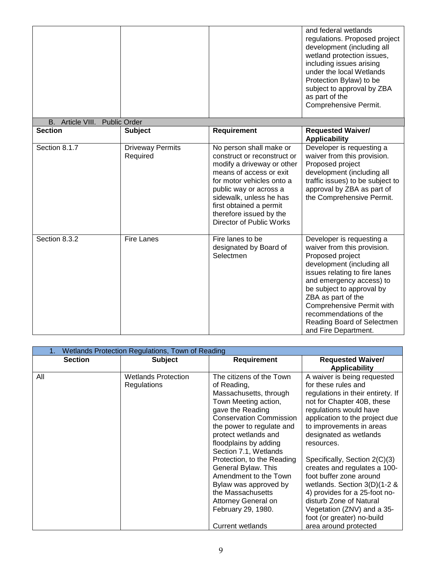|                               |                                     |                                                                                                                                                                                                                                                                                            | and federal wetlands<br>regulations. Proposed project<br>development (including all<br>wetland protection issues,<br>including issues arising<br>under the local Wetlands<br>Protection Bylaw) to be<br>subject to approval by ZBA<br>as part of the<br>Comprehensive Permit.                                                           |
|-------------------------------|-------------------------------------|--------------------------------------------------------------------------------------------------------------------------------------------------------------------------------------------------------------------------------------------------------------------------------------------|-----------------------------------------------------------------------------------------------------------------------------------------------------------------------------------------------------------------------------------------------------------------------------------------------------------------------------------------|
| B. Article VIII. Public Order |                                     |                                                                                                                                                                                                                                                                                            |                                                                                                                                                                                                                                                                                                                                         |
| <b>Section</b>                | <b>Subject</b>                      | <b>Requirement</b>                                                                                                                                                                                                                                                                         | <b>Requested Waiver/</b><br><b>Applicability</b>                                                                                                                                                                                                                                                                                        |
| Section 8.1.7                 | <b>Driveway Permits</b><br>Required | No person shall make or<br>construct or reconstruct or<br>modify a driveway or other<br>means of access or exit<br>for motor vehicles onto a<br>public way or across a<br>sidewalk, unless he has<br>first obtained a permit<br>therefore issued by the<br><b>Director of Public Works</b> | Developer is requesting a<br>waiver from this provision.<br>Proposed project<br>development (including all<br>traffic issues) to be subject to<br>approval by ZBA as part of<br>the Comprehensive Permit.                                                                                                                               |
| Section 8.3.2                 | <b>Fire Lanes</b>                   | Fire lanes to be<br>designated by Board of<br>Selectmen                                                                                                                                                                                                                                    | Developer is requesting a<br>waiver from this provision.<br>Proposed project<br>development (including all<br>issues relating to fire lanes<br>and emergency access) to<br>be subject to approval by<br>ZBA as part of the<br>Comprehensive Permit with<br>recommendations of the<br>Reading Board of Selectmen<br>and Fire Department. |

|                | Wetlands Protection Regulations, Town of Reading |                                                                                                                                                                                                                                                                                                                                                                                                                                                            |                                                                                                                                                                                                                                                                                                                                                                                                                                                                                                                                       |  |
|----------------|--------------------------------------------------|------------------------------------------------------------------------------------------------------------------------------------------------------------------------------------------------------------------------------------------------------------------------------------------------------------------------------------------------------------------------------------------------------------------------------------------------------------|---------------------------------------------------------------------------------------------------------------------------------------------------------------------------------------------------------------------------------------------------------------------------------------------------------------------------------------------------------------------------------------------------------------------------------------------------------------------------------------------------------------------------------------|--|
| <b>Section</b> | <b>Subject</b>                                   | <b>Requirement</b>                                                                                                                                                                                                                                                                                                                                                                                                                                         | <b>Requested Waiver/</b><br><b>Applicability</b>                                                                                                                                                                                                                                                                                                                                                                                                                                                                                      |  |
| All            | <b>Wetlands Protection</b><br><b>Regulations</b> | The citizens of the Town<br>of Reading,<br>Massachusetts, through<br>Town Meeting action,<br>gave the Reading<br><b>Conservation Commission</b><br>the power to regulate and<br>protect wetlands and<br>floodplains by adding<br>Section 7.1, Wetlands<br>Protection, to the Reading<br>General Bylaw. This<br>Amendment to the Town<br>Bylaw was approved by<br>the Massachusetts<br>Attorney General on<br>February 29, 1980.<br><b>Current wetlands</b> | A waiver is being requested<br>for these rules and<br>regulations in their entirety. If<br>not for Chapter 40B, these<br>regulations would have<br>application to the project due<br>to improvements in areas<br>designated as wetlands<br>resources.<br>Specifically, Section 2(C)(3)<br>creates and regulates a 100-<br>foot buffer zone around<br>wetlands. Section $3(D)(1-2 \&$<br>4) provides for a 25-foot no-<br>disturb Zone of Natural<br>Vegetation (ZNV) and a 35-<br>foot (or greater) no-build<br>area around protected |  |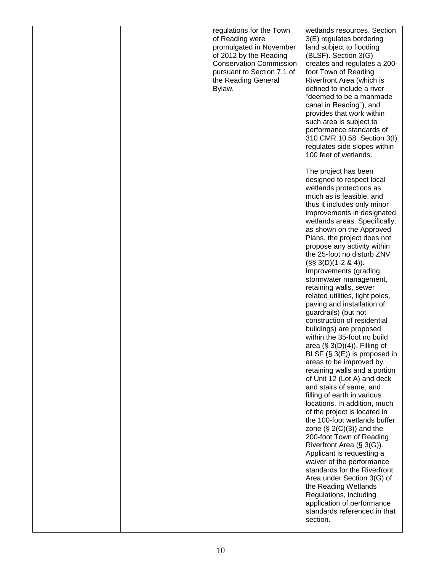|  | regulations for the Town                   | wetlands resources. Section                                  |
|--|--------------------------------------------|--------------------------------------------------------------|
|  | of Reading were<br>promulgated in November | 3(E) regulates bordering<br>land subject to flooding         |
|  | of 2012 by the Reading                     | (BLSF). Section 3(G)                                         |
|  | <b>Conservation Commission</b>             | creates and regulates a 200-                                 |
|  | pursuant to Section 7.1 of                 | foot Town of Reading                                         |
|  | the Reading General                        | Riverfront Area (which is                                    |
|  | Bylaw.                                     | defined to include a river<br>"deemed to be a manmade        |
|  |                                            | canal in Reading"), and                                      |
|  |                                            | provides that work within                                    |
|  |                                            | such area is subject to                                      |
|  |                                            | performance standards of                                     |
|  |                                            | 310 CMR 10.58. Section 3(I)<br>regulates side slopes within  |
|  |                                            | 100 feet of wetlands.                                        |
|  |                                            |                                                              |
|  |                                            | The project has been                                         |
|  |                                            | designed to respect local                                    |
|  |                                            | wetlands protections as<br>much as is feasible, and          |
|  |                                            | thus it includes only minor                                  |
|  |                                            | improvements in designated                                   |
|  |                                            | wetlands areas. Specifically,                                |
|  |                                            | as shown on the Approved<br>Plans, the project does not      |
|  |                                            | propose any activity within                                  |
|  |                                            | the 25-foot no disturb ZNV                                   |
|  |                                            | $(S\$ 3(D)(1-2 & 4)).                                        |
|  |                                            | Improvements (grading,                                       |
|  |                                            | stormwater management,<br>retaining walls, sewer             |
|  |                                            | related utilities, light poles,                              |
|  |                                            | paving and installation of                                   |
|  |                                            | guardrails) (but not                                         |
|  |                                            | construction of residential<br>buildings) are proposed       |
|  |                                            | within the 35-foot no build                                  |
|  |                                            | area $(\S$ 3(D)(4)). Filling of                              |
|  |                                            | BLSF $(S \cdot 3(E))$ is proposed in                         |
|  |                                            | areas to be improved by                                      |
|  |                                            | retaining walls and a portion<br>of Unit 12 (Lot A) and deck |
|  |                                            | and stairs of same, and                                      |
|  |                                            | filling of earth in various                                  |
|  |                                            | locations. In addition, much                                 |
|  |                                            | of the project is located in<br>the 100-foot wetlands buffer |
|  |                                            | zone $(\S 2(C)(3))$ and the                                  |
|  |                                            | 200-foot Town of Reading                                     |
|  |                                            | Riverfront Area (§ 3(G)).                                    |
|  |                                            | Applicant is requesting a                                    |
|  |                                            | waiver of the performance<br>standards for the Riverfront    |
|  |                                            | Area under Section 3(G) of                                   |
|  |                                            | the Reading Wetlands                                         |
|  |                                            | Regulations, including                                       |
|  |                                            | application of performance                                   |
|  |                                            | standards referenced in that<br>section.                     |
|  |                                            |                                                              |